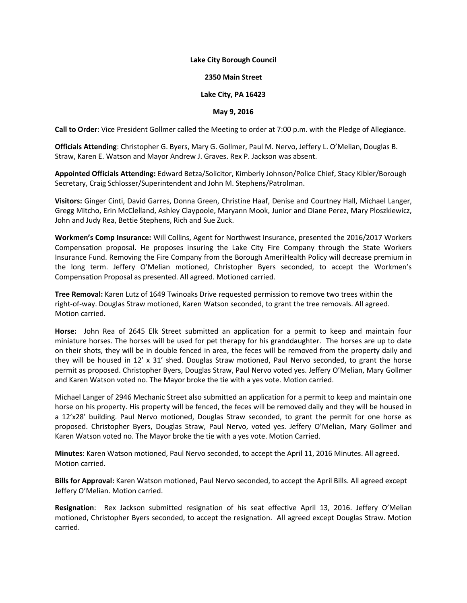### **Lake City Borough Council**

### **2350 Main Street**

### **Lake City, PA 16423**

### **May 9, 2016**

**Call to Order**: Vice President Gollmer called the Meeting to order at 7:00 p.m. with the Pledge of Allegiance.

**Officials Attending**: Christopher G. Byers, Mary G. Gollmer, Paul M. Nervo, Jeffery L. O'Melian, Douglas B. Straw, Karen E. Watson and Mayor Andrew J. Graves. Rex P. Jackson was absent.

**Appointed Officials Attending:** Edward Betza/Solicitor, Kimberly Johnson/Police Chief, Stacy Kibler/Borough Secretary, Craig Schlosser/Superintendent and John M. Stephens/Patrolman.

**Visitors:** Ginger Cinti, David Garres, Donna Green, Christine Haaf, Denise and Courtney Hall, Michael Langer, Gregg Mitcho, Erin McClelland, Ashley Claypoole, Maryann Mook, Junior and Diane Perez, Mary Ploszkiewicz, John and Judy Rea, Bettie Stephens, Rich and Sue Zuck.

**Workmen's Comp Insurance:** Will Collins, Agent for Northwest Insurance, presented the 2016/2017 Workers Compensation proposal. He proposes insuring the Lake City Fire Company through the State Workers Insurance Fund. Removing the Fire Company from the Borough AmeriHealth Policy will decrease premium in the long term. Jeffery O'Melian motioned, Christopher Byers seconded, to accept the Workmen's Compensation Proposal as presented. All agreed. Motioned carried.

**Tree Removal:** Karen Lutz of 1649 Twinoaks Drive requested permission to remove two trees within the right-of-way. Douglas Straw motioned, Karen Watson seconded, to grant the tree removals. All agreed. Motion carried.

**Horse:** John Rea of 2645 Elk Street submitted an application for a permit to keep and maintain four miniature horses. The horses will be used for pet therapy for his granddaughter. The horses are up to date on their shots, they will be in double fenced in area, the feces will be removed from the property daily and they will be housed in 12' x 31' shed. Douglas Straw motioned, Paul Nervo seconded, to grant the horse permit as proposed. Christopher Byers, Douglas Straw, Paul Nervo voted yes. Jeffery O'Melian, Mary Gollmer and Karen Watson voted no. The Mayor broke the tie with a yes vote. Motion carried.

Michael Langer of 2946 Mechanic Street also submitted an application for a permit to keep and maintain one horse on his property. His property will be fenced, the feces will be removed daily and they will be housed in a 12'x28' building. Paul Nervo motioned, Douglas Straw seconded, to grant the permit for one horse as proposed. Christopher Byers, Douglas Straw, Paul Nervo, voted yes. Jeffery O'Melian, Mary Gollmer and Karen Watson voted no. The Mayor broke the tie with a yes vote. Motion Carried.

**Minutes**: Karen Watson motioned, Paul Nervo seconded, to accept the April 11, 2016 Minutes. All agreed. Motion carried.

**Bills for Approval:** Karen Watson motioned, Paul Nervo seconded, to accept the April Bills. All agreed except Jeffery O'Melian. Motion carried.

**Resignation**: Rex Jackson submitted resignation of his seat effective April 13, 2016. Jeffery O'Melian motioned, Christopher Byers seconded, to accept the resignation. All agreed except Douglas Straw. Motion carried.